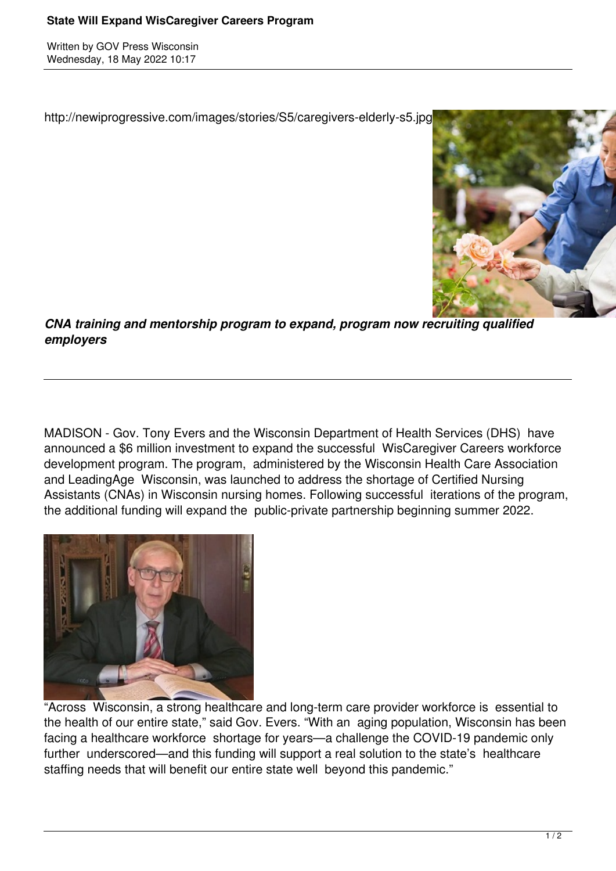## **State Will Expand WisCaregiver Careers Program**

Written by GOV Press Wisconsin Wednesday, 18 May 2022 10:17

http://newiprogressive.com/images/stories/S5/caregivers-elderly-s5.jpg



*CNA training and mentorship program to expand, program now recruiting qualified employers*

MADISON - Gov. Tony Evers and the Wisconsin Department of Health Services (DHS) have announced a \$6 million investment to expand the successful WisCaregiver Careers workforce development program. The program, administered by the Wisconsin Health Care Association and LeadingAge Wisconsin, was launched to address the shortage of Certified Nursing Assistants (CNAs) in Wisconsin nursing homes. Following successful iterations of the program, the additional funding will expand the public-private partnership beginning summer 2022.



"Across Wisconsin, a strong healthcare and long-term care provider workforce is essential to the health of our entire state," said Gov. Evers. "With an aging population, Wisconsin has been facing a healthcare workforce shortage for years—a challenge the COVID-19 pandemic only further underscored—and this funding will support a real solution to the state's healthcare staffing needs that will benefit our entire state well beyond this pandemic."